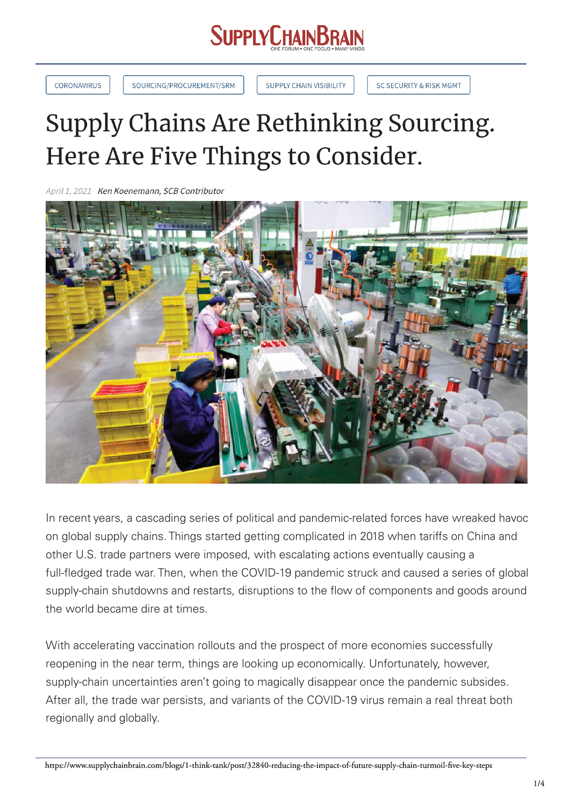

CORONAVIRUS

SOURCING/PROCUREMENT/SRM

**SUPPLY CHAIN VISIBILITY** 

**SC SECURITY & RISK MGMT** 

## Supply Chains Are Rethinking Sourcing. Here Are Five Things to Consider.

April 1, 2021 Ken Koenemann, SCB Contributor



In recent years, a cascading series of political and pandemic-related forces have wreaked havoc on global supply chains. Things started getting complicated in 2018 when tariffs on China and other U.S. trade partners were imposed, with escalating actions eventually causing a full-fledged trade war. Then, when the COVID-19 pandemic struck and caused a series of global supply-chain shutdowns and restarts, disruptions to the flow of components and goods around the world became dire at times.

With accelerating vaccination rollouts and the prospect of more economies successfully reopening in the near term, things are looking up economically. Unfortunately, however, supply-chain uncertainties aren't going to magically disappear once the pandemic subsides. After all, the trade war persists, and variants of the COVID-19 virus remain a real threat both regionally and globally.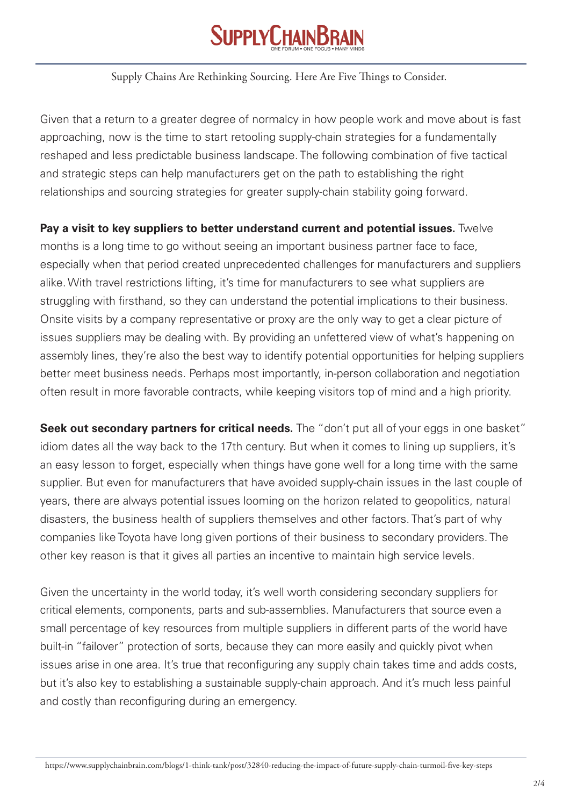## **SUPPLYCHAINBRAIN**

## Supply Chains Are Rethinking Sourcing. Here Are Five Things to Consider.

Given that a return to a greater degree of normalcy in how people work and move about is fast approaching, now is the time to start retooling supply-chain strategies for a fundamentally reshaped and less predictable business landscape. The following combination of five tactical and strategic steps can help manufacturers get on the path to establishing the right relationships and sourcing strategies for greater supply-chain stability going forward.

**Pay a visit to key suppliers to better understand current and potential issues.** Twelve months is a long time to go without seeing an important business partner face to face, especially when that period created unprecedented challenges for manufacturers and suppliers alike. With travel restrictions lifting, it's time for manufacturers to see what suppliers are struggling with firsthand, so they can understand the potential implications to their business. Onsite visits by a company representative or proxy are the only way to get a clear picture of issues suppliers may be dealing with. By providing an unfettered view of what's happening on assembly lines, they're also the best way to identify potential opportunities for helping suppliers better meet business needs. Perhaps most importantly, in-person collaboration and negotiation often result in more favorable contracts, while keeping visitors top of mind and a high priority.

**Seek out secondary partners for critical needs.** The "don't put all of your eggs in one basket" idiom dates all the way back to the 17th century. But when it comes to lining up suppliers, it's an easy lesson to forget, especially when things have gone well for a long time with the same supplier. But even for manufacturers that have avoided supply-chain issues in the last couple of years, there are always potential issues looming on the horizon related to geopolitics, natural disasters, the business health of suppliers themselves and other factors. That's part of why companies like Toyota have long given portions of their business to secondary providers. The other key reason is that it gives all parties an incentive to maintain high service levels.

Given the uncertainty in the world today, it's well worth considering secondary suppliers for critical elements, components, parts and sub-assemblies. Manufacturers that source even a small percentage of key resources from multiple suppliers in different parts of the world have built-in "failover" protection of sorts, because they can more easily and quickly pivot when issues arise in one area. It's true that reconfiguring any supply chain takes time and adds costs, but it's also key to establishing a sustainable supply-chain approach. And it's much less painful and costly than reconfiguring during an emergency.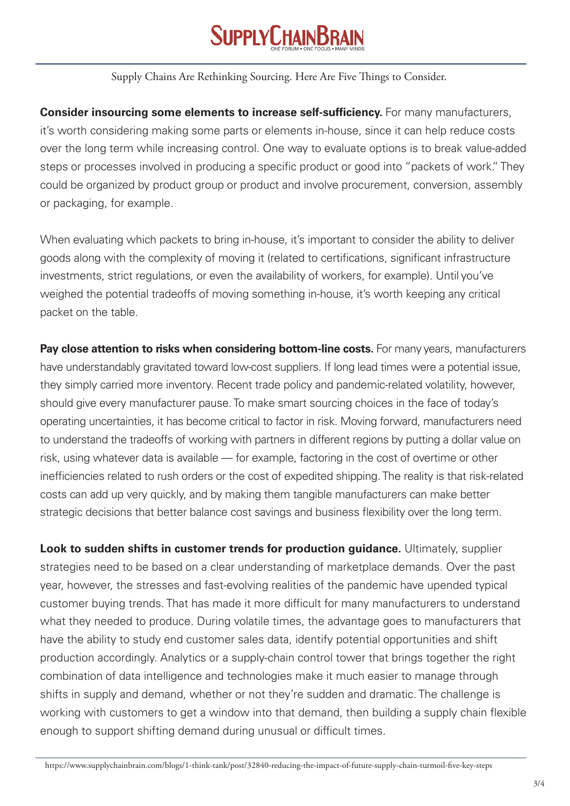

Supply Chains Are Rethinking Sourcing. Here Are Five Things to Consider.

**Consider insourcing some elements to increase self-sufficiency.** For many manufacturers, it's worth considering making some parts or elements in-house, since it can help reduce costs over the long term while increasing control. One way to evaluate options is to break value-added steps or processes involved in producing a specific product or good into "packets of work." They could be organized by product group or product and involve procurement, conversion, assembly or packaging, for example.

When evaluating which packets to bring in-house, it's important to consider the ability to deliver goods along with the complexity of moving it (related to certifications, significant infrastructure investments, strict regulations, or even the availability of workers, for example). Until you've weighed the potential tradeoffs of moving something in-house, it's worth keeping any critical packet on the table.

**Pay close attention to risks when considering bottom-line costs.** For many years, manufacturers have understandably gravitated toward low-cost suppliers. If long lead times were a potential issue, they simply carried more inventory. Recent trade policy and pandemic-related volatility, however, should give every manufacturer pause. To make smart sourcing choices in the face of today's operating uncertainties, it has become critical to factor in risk. Moving forward, manufacturers need to understand the tradeoffs of working with partners in different regions by putting a dollar value on risk, using whatever data is available — for example, factoring in the cost of overtime or other inefficiencies related to rush orders or the cost of expedited shipping. The reality is that risk-related costs can add up very quickly, and by making them tangible manufacturers can make better strategic decisions that better balance cost savings and business flexibility over the long term.

**Look to sudden shifts in customer trends for production guidance.** Ultimately, supplier strategies need to be based on a clear understanding of marketplace demands. Over the past year, however, the stresses and fast-evolving realities of the pandemic have upended typical customer buying trends. That has made it more difficult for many manufacturers to understand what they needed to produce. During volatile times, the advantage goes to manufacturers that have the ability to study end customer sales data, identify potential opportunities and shift production accordingly. Analytics or a supply-chain control tower that brings together the right combination of data intelligence and technologies make it much easier to manage through shifts in supply and demand, whether or not they're sudden and dramatic. The challenge is working with customers to get a window into that demand, then building a supply chain flexible enough to support shifting demand during unusual or difficult times.